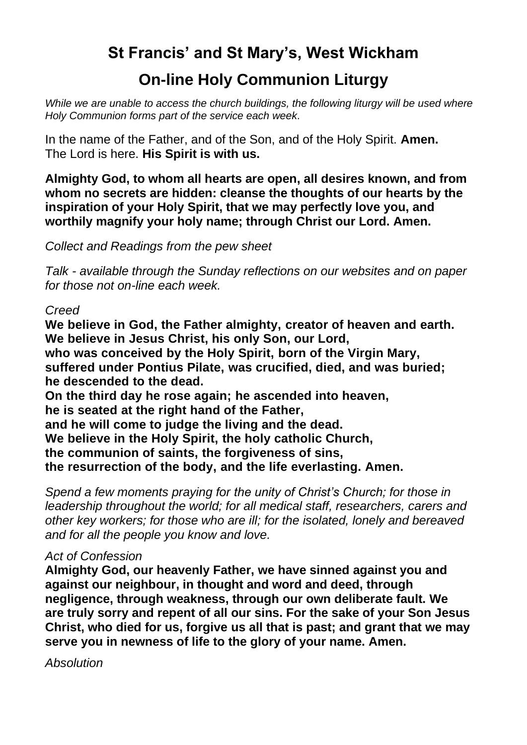# **St Francis' and St Mary's, West Wickham**

# **On-line Holy Communion Liturgy**

*While we are unable to access the church buildings, the following liturgy will be used where Holy Communion forms part of the service each week.* 

In the name of the Father, and of the Son, and of the Holy Spirit. **Amen.** The Lord is here. **His Spirit is with us.**

**Almighty God, to whom all hearts are open, all desires known, and from whom no secrets are hidden: cleanse the thoughts of our hearts by the inspiration of your Holy Spirit, that we may perfectly love you, and worthily magnify your holy name; through Christ our Lord. Amen.** 

*Collect and Readings from the pew sheet*

*Talk - available through the Sunday reflections on our websites and on paper for those not on-line each week.* 

#### *Creed*

**We believe in God, the Father almighty, creator of heaven and earth. We believe in Jesus Christ, his only Son, our Lord, who was conceived by the Holy Spirit, born of the Virgin Mary, suffered under Pontius Pilate, was crucified, died, and was buried; he descended to the dead. On the third day he rose again; he ascended into heaven, he is seated at the right hand of the Father, and he will come to judge the living and the dead.**

**We believe in the Holy Spirit, the holy catholic Church,**

**the communion of saints, the forgiveness of sins,**

**the resurrection of the body, and the life everlasting. Amen.**

*Spend a few moments praying for the unity of Christ's Church; for those in leadership throughout the world; for all medical staff, researchers, carers and other key workers; for those who are ill; for the isolated, lonely and bereaved and for all the people you know and love.*

## *Act of Confession*

**Almighty God, our heavenly Father, we have sinned against you and against our neighbour, in thought and word and deed, through negligence, through weakness, through our own deliberate fault. We are truly sorry and repent of all our sins. For the sake of your Son Jesus Christ, who died for us, forgive us all that is past; and grant that we may serve you in newness of life to the glory of your name. Amen.**

*Absolution*